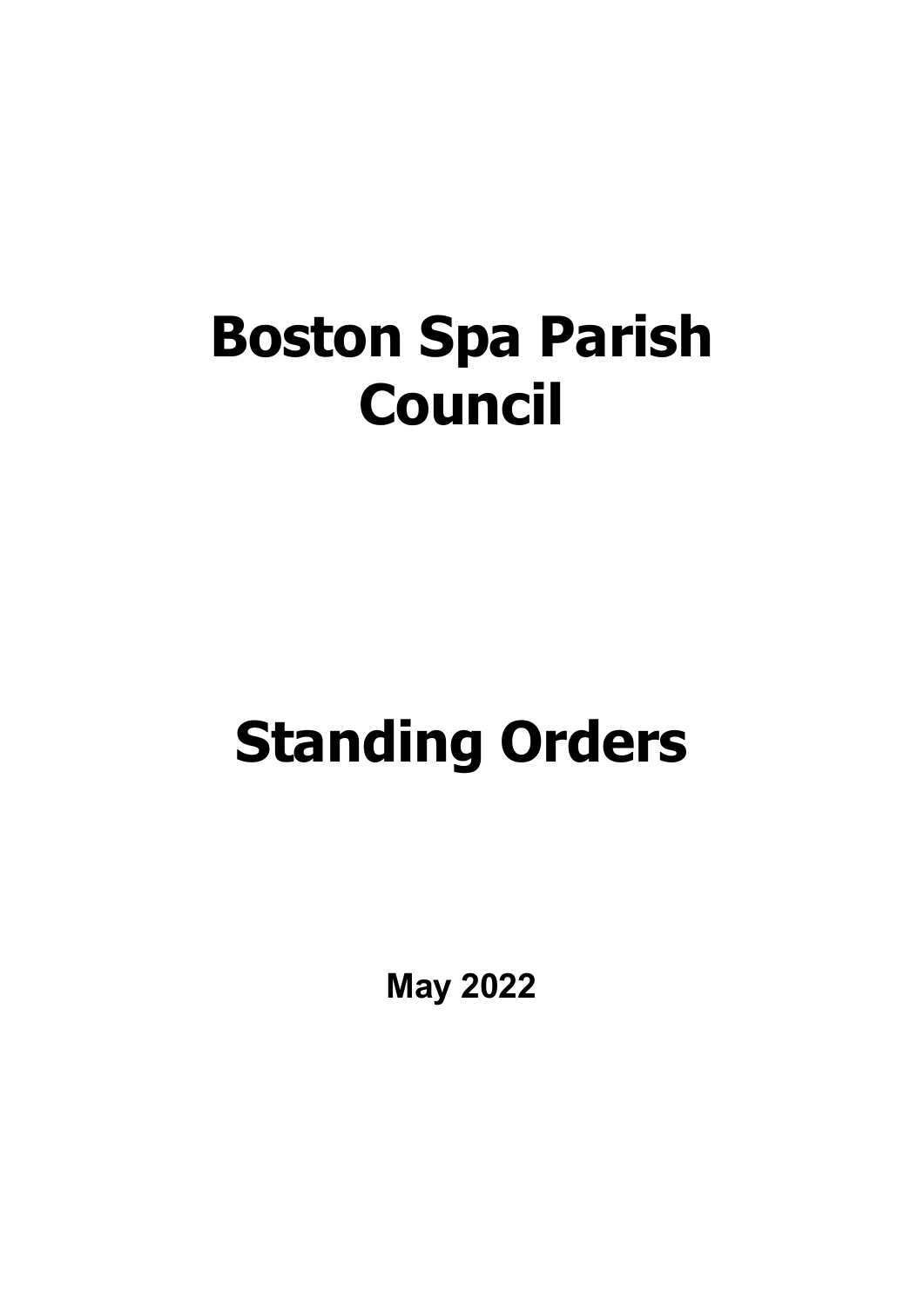## **Boston Spa Parish Council**

# **Standing Orders**

**May 2022**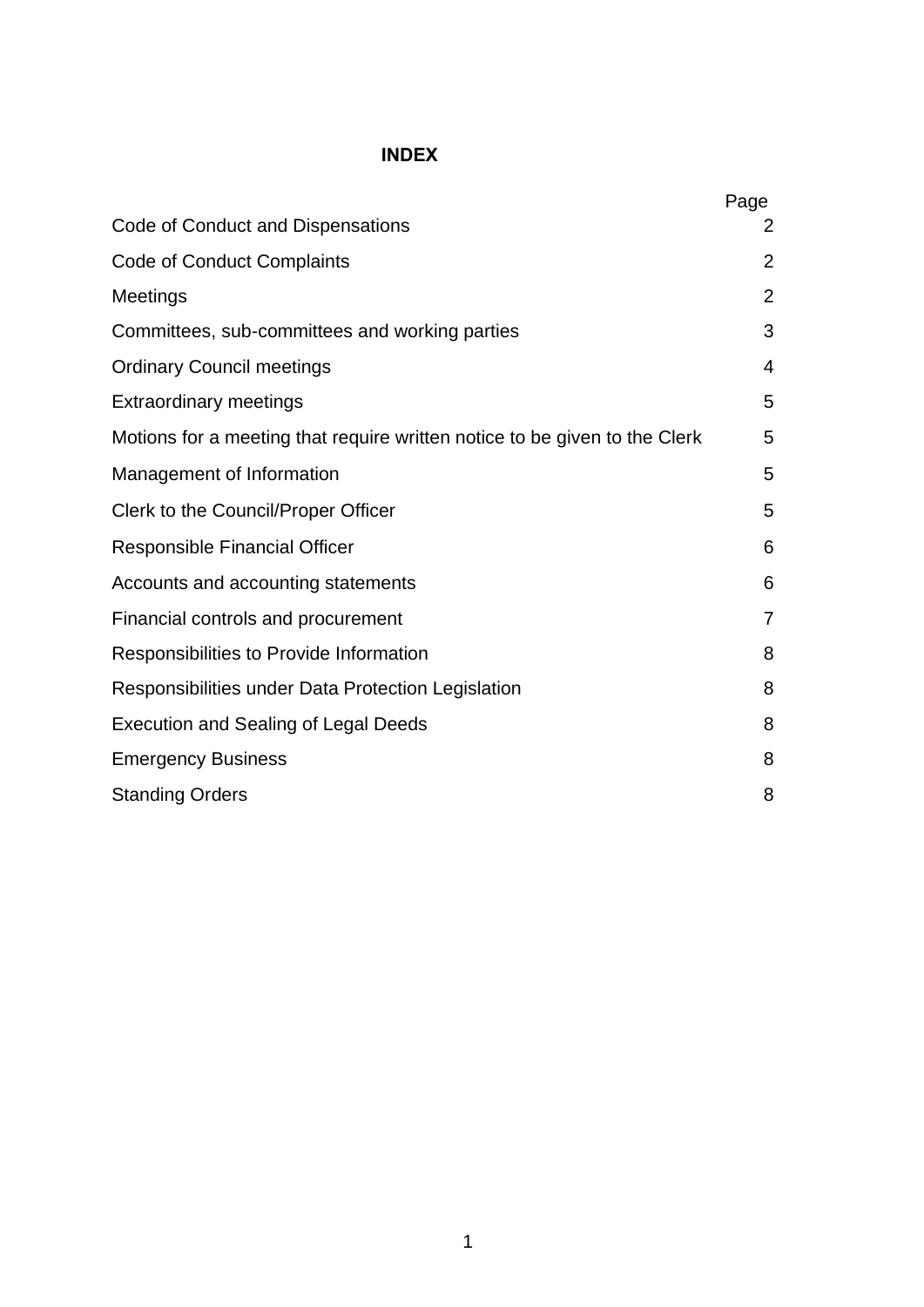## **INDEX**

|                                                                            | Page |
|----------------------------------------------------------------------------|------|
| Code of Conduct and Dispensations                                          | 2    |
| <b>Code of Conduct Complaints</b>                                          | 2    |
| Meetings                                                                   | 2    |
| Committees, sub-committees and working parties                             | 3    |
| <b>Ordinary Council meetings</b>                                           | 4    |
| <b>Extraordinary meetings</b>                                              | 5    |
| Motions for a meeting that require written notice to be given to the Clerk | 5    |
| Management of Information                                                  | 5    |
| Clerk to the Council/Proper Officer                                        | 5    |
| <b>Responsible Financial Officer</b>                                       | 6    |
| Accounts and accounting statements                                         | 6    |
| Financial controls and procurement                                         | 7    |
| Responsibilities to Provide Information                                    | 8    |
| Responsibilities under Data Protection Legislation                         | 8    |
| <b>Execution and Sealing of Legal Deeds</b>                                | 8    |
| <b>Emergency Business</b>                                                  | 8    |
| <b>Standing Orders</b>                                                     | 8    |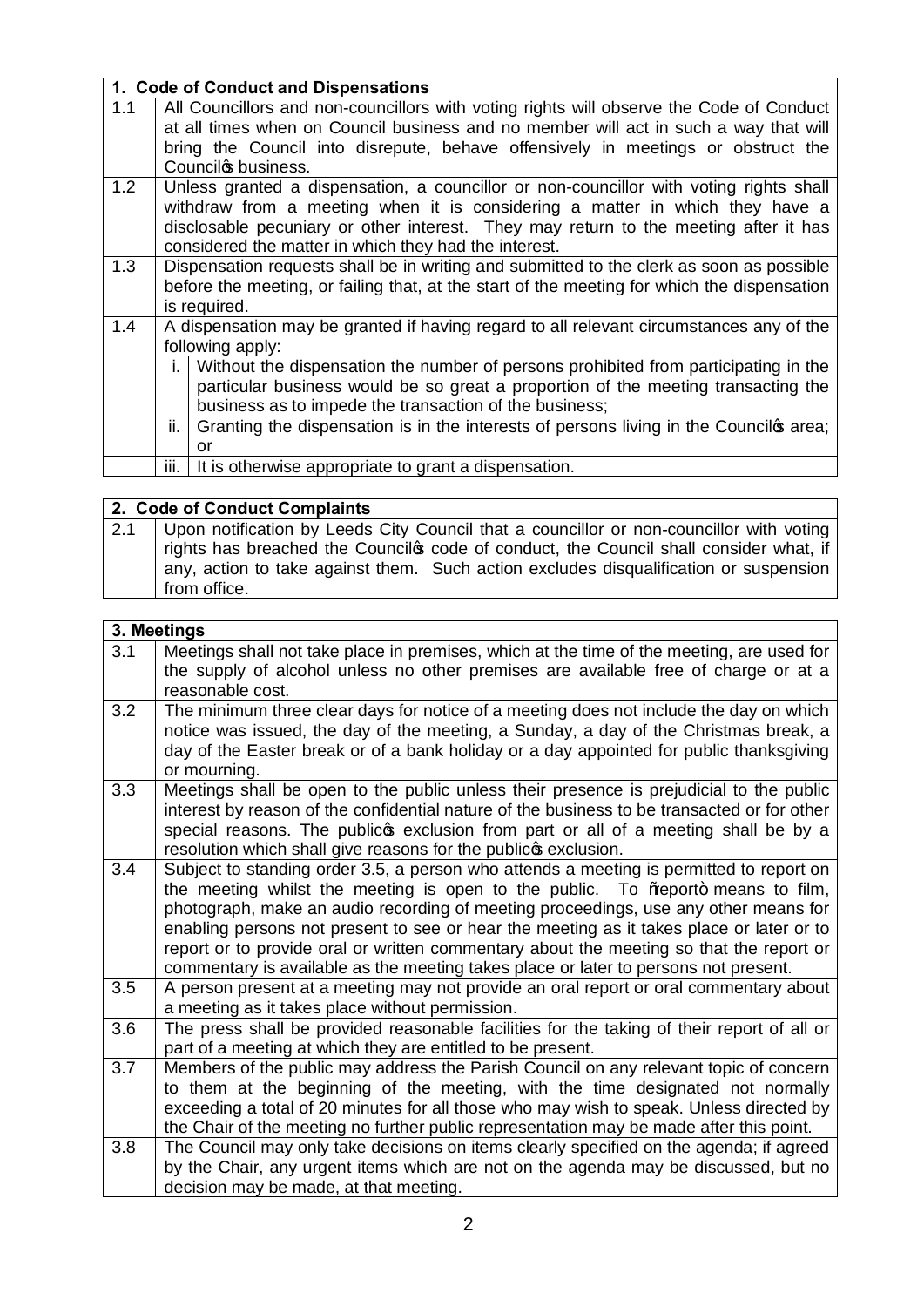|     | 1. Code of Conduct and Dispensations                                                                                                                                                                                                                                                                                    |
|-----|-------------------------------------------------------------------------------------------------------------------------------------------------------------------------------------------------------------------------------------------------------------------------------------------------------------------------|
| 1.1 | All Councillors and non-councillors with voting rights will observe the Code of Conduct<br>at all times when on Council business and no member will act in such a way that will<br>bring the Council into disrepute, behave offensively in meetings or obstruct the<br>Councilos business.                              |
| 1.2 | Unless granted a dispensation, a councillor or non-councillor with voting rights shall<br>withdraw from a meeting when it is considering a matter in which they have a<br>disclosable pecuniary or other interest. They may return to the meeting after it has<br>considered the matter in which they had the interest. |
| 1.3 | Dispensation requests shall be in writing and submitted to the clerk as soon as possible<br>before the meeting, or failing that, at the start of the meeting for which the dispensation<br>is required.                                                                                                                 |
| 1.4 | A dispensation may be granted if having regard to all relevant circumstances any of the<br>following apply:                                                                                                                                                                                                             |
|     | Without the dispensation the number of persons prohibited from participating in the<br>i. I<br>particular business would be so great a proportion of the meeting transacting the<br>business as to impede the transaction of the business;                                                                              |
|     | ii. $\vert$ Granting the dispensation is in the interests of persons living in the Council $\phi$ area;<br>or                                                                                                                                                                                                           |
|     | It is otherwise appropriate to grant a dispensation.<br>III.                                                                                                                                                                                                                                                            |
|     |                                                                                                                                                                                                                                                                                                                         |

## **2. Code of Conduct Complaints**

2.1 Upon notification by Leeds City Council that a councillor or non-councillor with voting rights has breached the Councilos code of conduct, the Council shall consider what, if any, action to take against them. Such action excludes disqualification or suspension from office.

|     | 3. Meetings                                                                                                                                                                                                                                                                                                                                                                                                                                                                                                                                      |
|-----|--------------------------------------------------------------------------------------------------------------------------------------------------------------------------------------------------------------------------------------------------------------------------------------------------------------------------------------------------------------------------------------------------------------------------------------------------------------------------------------------------------------------------------------------------|
| 3.1 | Meetings shall not take place in premises, which at the time of the meeting, are used for<br>the supply of alcohol unless no other premises are available free of charge or at a                                                                                                                                                                                                                                                                                                                                                                 |
|     | reasonable cost.                                                                                                                                                                                                                                                                                                                                                                                                                                                                                                                                 |
| 3.2 | The minimum three clear days for notice of a meeting does not include the day on which<br>notice was issued, the day of the meeting, a Sunday, a day of the Christmas break, a<br>day of the Easter break or of a bank holiday or a day appointed for public thanksgiving<br>or mourning.                                                                                                                                                                                                                                                        |
| 3.3 | Meetings shall be open to the public unless their presence is prejudicial to the public<br>interest by reason of the confidential nature of the business to be transacted or for other<br>special reasons. The publicos exclusion from part or all of a meeting shall be by a<br>resolution which shall give reasons for the publico exclusion.                                                                                                                                                                                                  |
| 3.4 | Subject to standing order 3.5, a person who attends a meeting is permitted to report on<br>the meeting whilst the meeting is open to the public. To % eport+ means to film,<br>photograph, make an audio recording of meeting proceedings, use any other means for<br>enabling persons not present to see or hear the meeting as it takes place or later or to<br>report or to provide oral or written commentary about the meeting so that the report or<br>commentary is available as the meeting takes place or later to persons not present. |
| 3.5 | A person present at a meeting may not provide an oral report or oral commentary about<br>a meeting as it takes place without permission.                                                                                                                                                                                                                                                                                                                                                                                                         |
| 3.6 | The press shall be provided reasonable facilities for the taking of their report of all or<br>part of a meeting at which they are entitled to be present.                                                                                                                                                                                                                                                                                                                                                                                        |
| 3.7 | Members of the public may address the Parish Council on any relevant topic of concern<br>to them at the beginning of the meeting, with the time designated not normally<br>exceeding a total of 20 minutes for all those who may wish to speak. Unless directed by<br>the Chair of the meeting no further public representation may be made after this point.                                                                                                                                                                                    |
| 3.8 | The Council may only take decisions on items clearly specified on the agenda; if agreed<br>by the Chair, any urgent items which are not on the agenda may be discussed, but no<br>decision may be made, at that meeting.                                                                                                                                                                                                                                                                                                                         |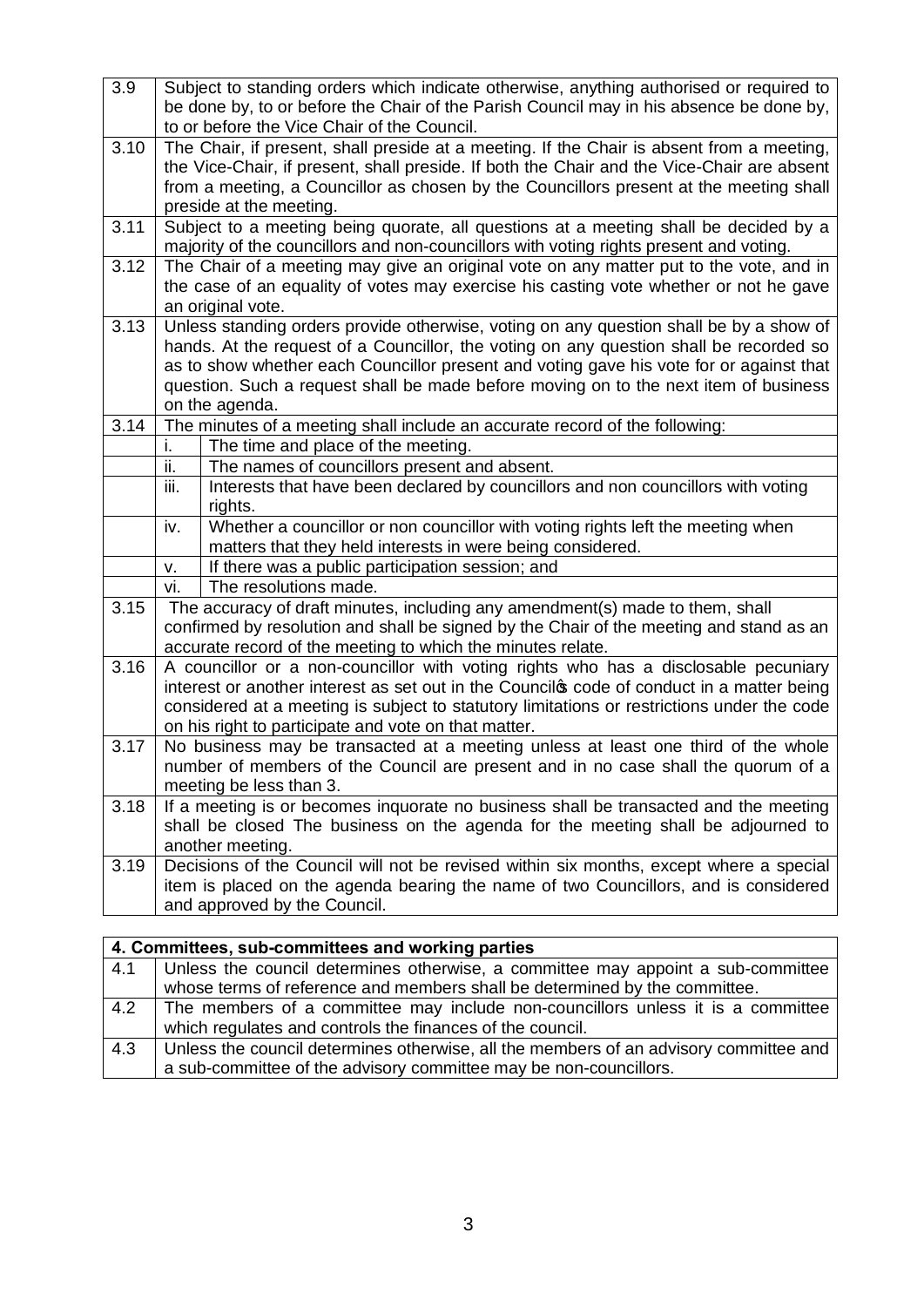| 3.9  | Subject to standing orders which indicate otherwise, anything authorised or required to                                                                                         |
|------|---------------------------------------------------------------------------------------------------------------------------------------------------------------------------------|
|      | be done by, to or before the Chair of the Parish Council may in his absence be done by,                                                                                         |
|      | to or before the Vice Chair of the Council.                                                                                                                                     |
| 3.10 | The Chair, if present, shall preside at a meeting. If the Chair is absent from a meeting,                                                                                       |
|      | the Vice-Chair, if present, shall preside. If both the Chair and the Vice-Chair are absent                                                                                      |
|      | from a meeting, a Councillor as chosen by the Councillors present at the meeting shall                                                                                          |
| 3.11 | preside at the meeting.<br>Subject to a meeting being quorate, all questions at a meeting shall be decided by a                                                                 |
|      | majority of the councillors and non-councillors with voting rights present and voting.                                                                                          |
| 3.12 | The Chair of a meeting may give an original vote on any matter put to the vote, and in                                                                                          |
|      | the case of an equality of votes may exercise his casting vote whether or not he gave                                                                                           |
|      | an original vote.                                                                                                                                                               |
| 3.13 | Unless standing orders provide otherwise, voting on any question shall be by a show of                                                                                          |
|      | hands. At the request of a Councillor, the voting on any question shall be recorded so                                                                                          |
|      | as to show whether each Councillor present and voting gave his vote for or against that<br>question. Such a request shall be made before moving on to the next item of business |
|      | on the agenda.                                                                                                                                                                  |
| 3.14 | The minutes of a meeting shall include an accurate record of the following:                                                                                                     |
|      | The time and place of the meeting.<br>i.                                                                                                                                        |
|      | The names of councillors present and absent.<br>ii.                                                                                                                             |
|      | Interests that have been declared by councillors and non councillors with voting<br>iii.                                                                                        |
|      | rights.                                                                                                                                                                         |
|      | Whether a councillor or non councillor with voting rights left the meeting when<br>iv.                                                                                          |
|      | matters that they held interests in were being considered.<br>If there was a public participation session; and<br>v.                                                            |
|      | The resolutions made.<br>vi.                                                                                                                                                    |
| 3.15 | The accuracy of draft minutes, including any amendment(s) made to them, shall                                                                                                   |
|      | confirmed by resolution and shall be signed by the Chair of the meeting and stand as an                                                                                         |
|      | accurate record of the meeting to which the minutes relate.                                                                                                                     |
| 3.16 | A councillor or a non-councillor with voting rights who has a disclosable pecuniary                                                                                             |
|      | interest or another interest as set out in the Councilos code of conduct in a matter being                                                                                      |
|      | considered at a meeting is subject to statutory limitations or restrictions under the code                                                                                      |
| 3.17 | on his right to participate and vote on that matter.<br>No business may be transacted at a meeting unless at least one third of the whole                                       |
|      | number of members of the Council are present and in no case shall the quorum of a                                                                                               |
|      | meeting be less than 3.                                                                                                                                                         |
| 3.18 | If a meeting is or becomes inquorate no business shall be transacted and the meeting                                                                                            |
|      | shall be closed The business on the agenda for the meeting shall be adjourned to                                                                                                |
|      | another meeting.                                                                                                                                                                |
| 3.19 | Decisions of the Council will not be revised within six months, except where a special                                                                                          |
|      | item is placed on the agenda bearing the name of two Councillors, and is considered                                                                                             |
|      | and approved by the Council.                                                                                                                                                    |
|      |                                                                                                                                                                                 |
|      | 4. Committees, sub-committees and working parties                                                                                                                               |
| 4.1  | Unless the council determines otherwise, a committee may appoint a sub-committee                                                                                                |

|     | whose terms of reference and members shall be determined by the committee.            |
|-----|---------------------------------------------------------------------------------------|
| 4.2 | The members of a committee may include non-councillors unless it is a committee       |
|     | which regulates and controls the finances of the council.                             |
| 4.3 | Unless the council determines otherwise, all the members of an advisory committee and |
|     | a sub-committee of the advisory committee may be non-councillors.                     |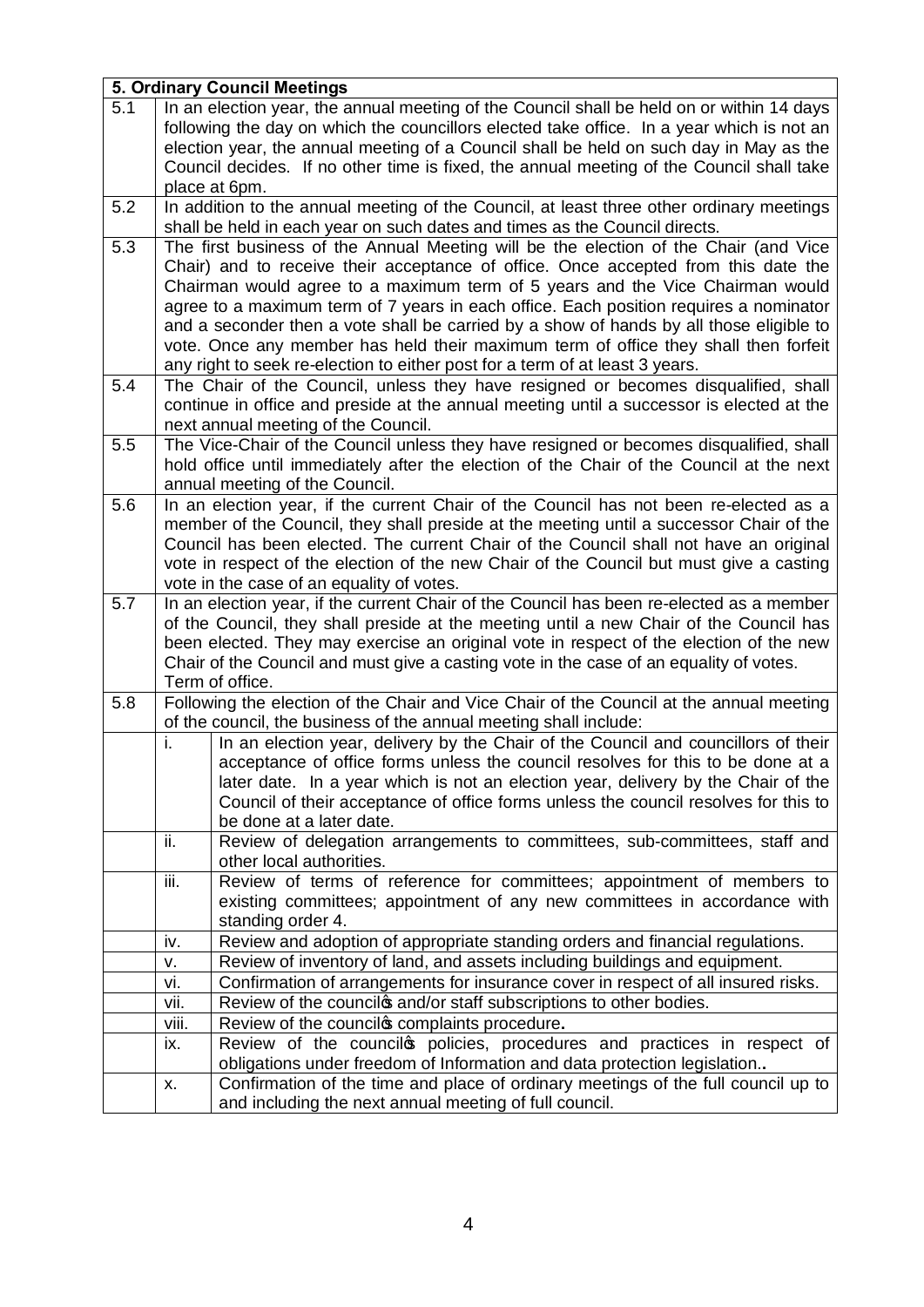|     | 5. Ordinary Council Meetings                                                                                                                                                                                                                                                                                                                                                                                                                                                                                                                                                                                           |  |
|-----|------------------------------------------------------------------------------------------------------------------------------------------------------------------------------------------------------------------------------------------------------------------------------------------------------------------------------------------------------------------------------------------------------------------------------------------------------------------------------------------------------------------------------------------------------------------------------------------------------------------------|--|
| 5.1 | In an election year, the annual meeting of the Council shall be held on or within 14 days<br>following the day on which the councillors elected take office. In a year which is not an<br>election year, the annual meeting of a Council shall be held on such day in May as the<br>Council decides. If no other time is fixed, the annual meeting of the Council shall take<br>place at 6pm.                                                                                                                                                                                                                          |  |
| 5.2 | In addition to the annual meeting of the Council, at least three other ordinary meetings<br>shall be held in each year on such dates and times as the Council directs.                                                                                                                                                                                                                                                                                                                                                                                                                                                 |  |
| 5.3 | The first business of the Annual Meeting will be the election of the Chair (and Vice<br>Chair) and to receive their acceptance of office. Once accepted from this date the<br>Chairman would agree to a maximum term of 5 years and the Vice Chairman would<br>agree to a maximum term of 7 years in each office. Each position requires a nominator<br>and a seconder then a vote shall be carried by a show of hands by all those eligible to<br>vote. Once any member has held their maximum term of office they shall then forfeit<br>any right to seek re-election to either post for a term of at least 3 years. |  |
| 5.4 | The Chair of the Council, unless they have resigned or becomes disqualified, shall<br>continue in office and preside at the annual meeting until a successor is elected at the<br>next annual meeting of the Council.                                                                                                                                                                                                                                                                                                                                                                                                  |  |
| 5.5 | The Vice-Chair of the Council unless they have resigned or becomes disqualified, shall<br>hold office until immediately after the election of the Chair of the Council at the next<br>annual meeting of the Council.                                                                                                                                                                                                                                                                                                                                                                                                   |  |
| 5.6 | In an election year, if the current Chair of the Council has not been re-elected as a<br>member of the Council, they shall preside at the meeting until a successor Chair of the<br>Council has been elected. The current Chair of the Council shall not have an original<br>vote in respect of the election of the new Chair of the Council but must give a casting<br>vote in the case of an equality of votes.                                                                                                                                                                                                      |  |
| 5.7 | In an election year, if the current Chair of the Council has been re-elected as a member<br>of the Council, they shall preside at the meeting until a new Chair of the Council has<br>been elected. They may exercise an original vote in respect of the election of the new<br>Chair of the Council and must give a casting vote in the case of an equality of votes.<br>Term of office.                                                                                                                                                                                                                              |  |
| 5.8 | Following the election of the Chair and Vice Chair of the Council at the annual meeting<br>of the council, the business of the annual meeting shall include:                                                                                                                                                                                                                                                                                                                                                                                                                                                           |  |
|     | In an election year, delivery by the Chair of the Council and councillors of their<br>j.<br>acceptance of office forms unless the council resolves for this to be done at a<br>later date. In a year which is not an election year, delivery by the Chair of the<br>Council of their acceptance of office forms unless the council resolves for this to<br>be done at a later date.                                                                                                                                                                                                                                    |  |
|     | ii.<br>Review of delegation arrangements to committees, sub-committees, staff and<br>other local authorities.                                                                                                                                                                                                                                                                                                                                                                                                                                                                                                          |  |
|     | iii.<br>Review of terms of reference for committees; appointment of members to<br>existing committees; appointment of any new committees in accordance with<br>standing order 4.                                                                                                                                                                                                                                                                                                                                                                                                                                       |  |
|     | Review and adoption of appropriate standing orders and financial regulations.<br>iv.                                                                                                                                                                                                                                                                                                                                                                                                                                                                                                                                   |  |
|     | Review of inventory of land, and assets including buildings and equipment.<br>٧.                                                                                                                                                                                                                                                                                                                                                                                                                                                                                                                                       |  |
|     | Confirmation of arrangements for insurance cover in respect of all insured risks.<br>vi.                                                                                                                                                                                                                                                                                                                                                                                                                                                                                                                               |  |
|     | Review of the councilos and/or staff subscriptions to other bodies.<br>vii.                                                                                                                                                                                                                                                                                                                                                                                                                                                                                                                                            |  |
|     | viii.<br>Review of the councilos complaints procedure.<br>Review of the councilos policies, procedures and practices in respect of<br>ix.<br>obligations under freedom of Information and data protection legislation                                                                                                                                                                                                                                                                                                                                                                                                  |  |
|     | Confirmation of the time and place of ordinary meetings of the full council up to<br>Х.<br>and including the next annual meeting of full council.                                                                                                                                                                                                                                                                                                                                                                                                                                                                      |  |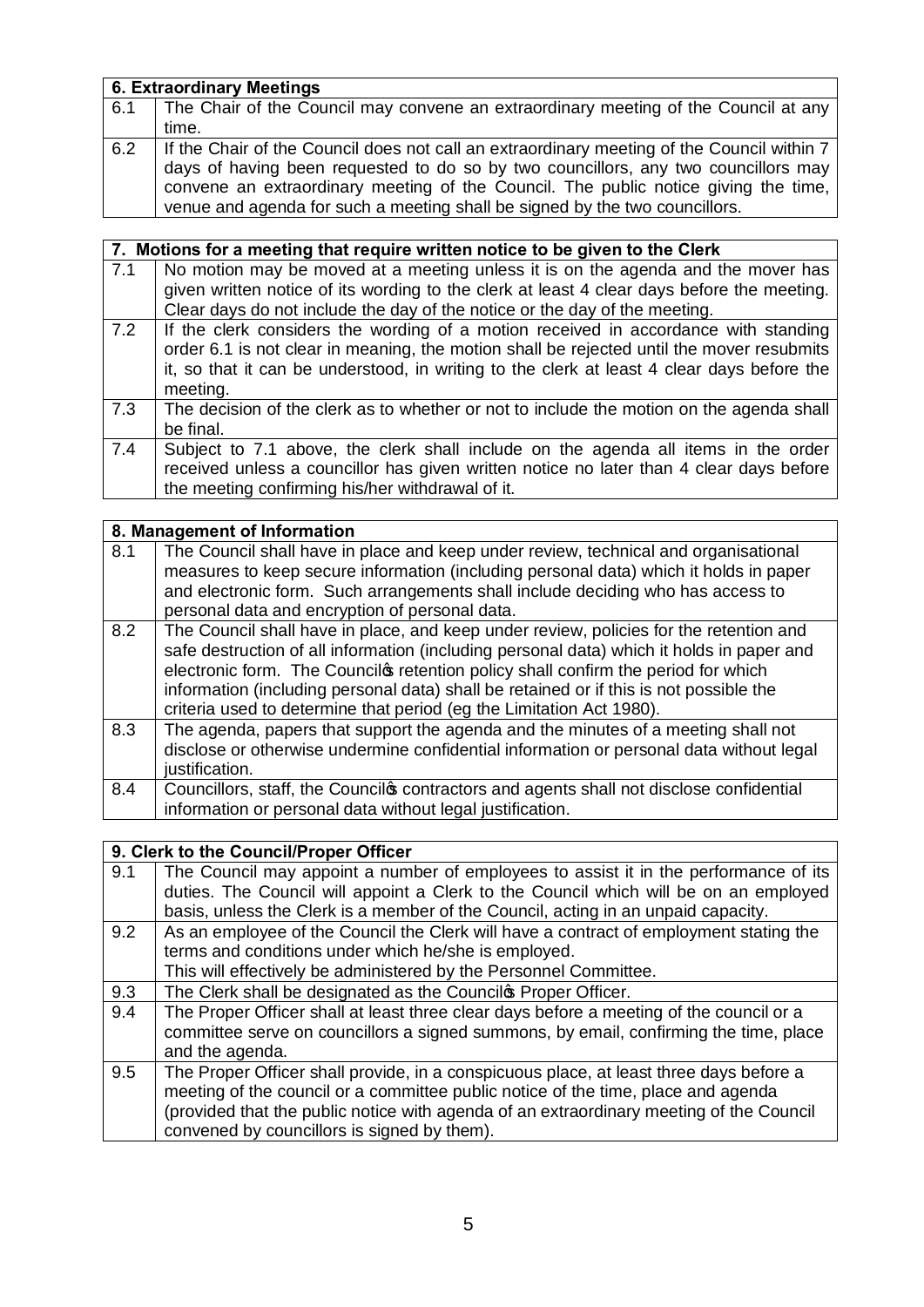|     | 6. Extraordinary Meetings                                                                                                                                                                                                                                                                                                                              |  |
|-----|--------------------------------------------------------------------------------------------------------------------------------------------------------------------------------------------------------------------------------------------------------------------------------------------------------------------------------------------------------|--|
| 6.1 | The Chair of the Council may convene an extraordinary meeting of the Council at any                                                                                                                                                                                                                                                                    |  |
|     | time.                                                                                                                                                                                                                                                                                                                                                  |  |
| 6.2 | If the Chair of the Council does not call an extraordinary meeting of the Council within 7<br>days of having been requested to do so by two councillors, any two councillors may<br>convene an extraordinary meeting of the Council. The public notice giving the time,<br>venue and agenda for such a meeting shall be signed by the two councillors. |  |

|     | 7. Motions for a meeting that require written notice to be given to the Clerk                                                                                                                                                                                                              |
|-----|--------------------------------------------------------------------------------------------------------------------------------------------------------------------------------------------------------------------------------------------------------------------------------------------|
| 7.1 | No motion may be moved at a meeting unless it is on the agenda and the mover has                                                                                                                                                                                                           |
|     | given written notice of its wording to the clerk at least 4 clear days before the meeting.                                                                                                                                                                                                 |
|     | Clear days do not include the day of the notice or the day of the meeting.                                                                                                                                                                                                                 |
| 7.2 | If the clerk considers the wording of a motion received in accordance with standing<br>order 6.1 is not clear in meaning, the motion shall be rejected until the mover resubmits<br>it, so that it can be understood, in writing to the clerk at least 4 clear days before the<br>meeting. |
| 7.3 | The decision of the clerk as to whether or not to include the motion on the agenda shall<br>be final.                                                                                                                                                                                      |
| 7.4 | Subject to 7.1 above, the clerk shall include on the agenda all items in the order<br>received unless a councillor has given written notice no later than 4 clear days before<br>the meeting confirming his/her withdrawal of it.                                                          |

|     | 8. Management of Information                                                                                                                                                                                                                                                                                                                                                                                                                |
|-----|---------------------------------------------------------------------------------------------------------------------------------------------------------------------------------------------------------------------------------------------------------------------------------------------------------------------------------------------------------------------------------------------------------------------------------------------|
| 8.1 | The Council shall have in place and keep under review, technical and organisational<br>measures to keep secure information (including personal data) which it holds in paper<br>and electronic form. Such arrangements shall include deciding who has access to<br>personal data and encryption of personal data.                                                                                                                           |
| 8.2 | The Council shall have in place, and keep under review, policies for the retention and<br>safe destruction of all information (including personal data) which it holds in paper and<br>electronic form. The Councilos retention policy shall confirm the period for which<br>information (including personal data) shall be retained or if this is not possible the<br>criteria used to determine that period (eg the Limitation Act 1980). |
| 8.3 | The agenda, papers that support the agenda and the minutes of a meeting shall not<br>disclose or otherwise undermine confidential information or personal data without legal<br>justification.                                                                                                                                                                                                                                              |
| 8.4 | Councillors, staff, the Councilos contractors and agents shall not disclose confidential<br>information or personal data without legal justification.                                                                                                                                                                                                                                                                                       |

## **9. Clerk to the Council/Proper Officer**

| 9.1 | The Council may appoint a number of employees to assist it in the performance of its<br>duties. The Council will appoint a Clerk to the Council which will be on an employed<br>basis, unless the Clerk is a member of the Council, acting in an unpaid capacity.                                                     |
|-----|-----------------------------------------------------------------------------------------------------------------------------------------------------------------------------------------------------------------------------------------------------------------------------------------------------------------------|
| 9.2 | As an employee of the Council the Clerk will have a contract of employment stating the<br>terms and conditions under which he/she is employed.<br>This will effectively be administered by the Personnel Committee.                                                                                                   |
| 9.3 | The Clerk shall be designated as the Councilos Proper Officer.                                                                                                                                                                                                                                                        |
| 9.4 | The Proper Officer shall at least three clear days before a meeting of the council or a<br>committee serve on councillors a signed summons, by email, confirming the time, place<br>and the agenda.                                                                                                                   |
| 9.5 | The Proper Officer shall provide, in a conspicuous place, at least three days before a<br>meeting of the council or a committee public notice of the time, place and agenda<br>(provided that the public notice with agenda of an extraordinary meeting of the Council<br>convened by councillors is signed by them). |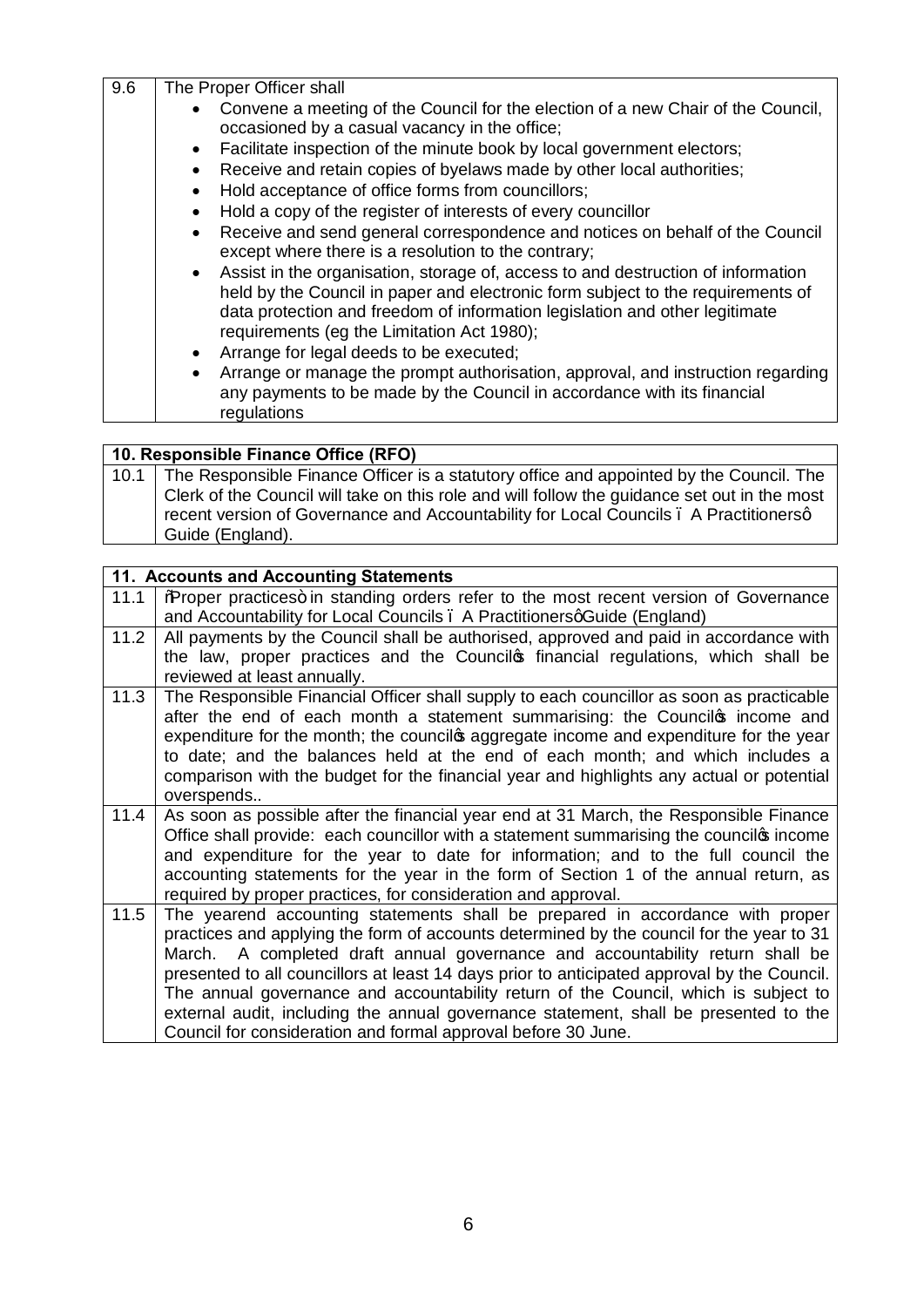| 9.6 | The Proper Officer shall                                                                                                                                                                                                                                                                           |
|-----|----------------------------------------------------------------------------------------------------------------------------------------------------------------------------------------------------------------------------------------------------------------------------------------------------|
|     | • Convene a meeting of the Council for the election of a new Chair of the Council,<br>occasioned by a casual vacancy in the office;                                                                                                                                                                |
|     | Facilitate inspection of the minute book by local government electors;<br>$\bullet$                                                                                                                                                                                                                |
|     | Receive and retain copies of byelaws made by other local authorities;<br>$\bullet$                                                                                                                                                                                                                 |
|     | Hold acceptance of office forms from councillors;                                                                                                                                                                                                                                                  |
|     | Hold a copy of the register of interests of every councillor<br>$\bullet$                                                                                                                                                                                                                          |
|     | • Receive and send general correspondence and notices on behalf of the Council<br>except where there is a resolution to the contrary;                                                                                                                                                              |
|     | • Assist in the organisation, storage of, access to and destruction of information<br>held by the Council in paper and electronic form subject to the requirements of<br>data protection and freedom of information legislation and other legitimate<br>requirements (eg the Limitation Act 1980); |
|     | Arrange for legal deeds to be executed;<br>$\bullet$                                                                                                                                                                                                                                               |
|     | Arrange or manage the prompt authorisation, approval, and instruction regarding<br>$\bullet$<br>any payments to be made by the Council in accordance with its financial<br>regulations                                                                                                             |

## **10. Responsible Finance Office (RFO)**

| 10.1 The Responsible Finance Officer is a statutory office and appointed by the Council. The |
|----------------------------------------------------------------------------------------------|
| Clerk of the Council will take on this role and will follow the quidance set out in the most |
| recent version of Governance and Accountability for Local Councils . A Practitionersq        |
| Guide (England).                                                                             |

| 11. Accounts and Accounting Statements |                                                                                                                                                                              |  |
|----------------------------------------|------------------------------------------------------------------------------------------------------------------------------------------------------------------------------|--|
| 11.1                                   | %Rroper practices+ in standing orders refer to the most recent version of Governance                                                                                         |  |
|                                        | and Accountability for Local Councils . A PractitionersqGuide (England)                                                                                                      |  |
| 11.2                                   | All payments by the Council shall be authorised, approved and paid in accordance with                                                                                        |  |
|                                        | the law, proper practices and the Councilos financial regulations, which shall be                                                                                            |  |
|                                        | reviewed at least annually.                                                                                                                                                  |  |
| 11.3                                   | The Responsible Financial Officer shall supply to each councillor as soon as practicable                                                                                     |  |
|                                        | after the end of each month a statement summarising: the Councilos income and                                                                                                |  |
|                                        | expenditure for the month; the councilos aggregate income and expenditure for the year                                                                                       |  |
|                                        | to date; and the balances held at the end of each month; and which includes a                                                                                                |  |
|                                        | comparison with the budget for the financial year and highlights any actual or potential                                                                                     |  |
|                                        | overspends                                                                                                                                                                   |  |
| 11.4                                   | As soon as possible after the financial year end at 31 March, the Responsible Finance                                                                                        |  |
|                                        | Office shall provide: each councillor with a statement summarising the councilos income                                                                                      |  |
|                                        | and expenditure for the year to date for information; and to the full council the                                                                                            |  |
|                                        | accounting statements for the year in the form of Section 1 of the annual return, as                                                                                         |  |
|                                        | required by proper practices, for consideration and approval.                                                                                                                |  |
| 11.5                                   | The yearend accounting statements shall be prepared in accordance with proper                                                                                                |  |
|                                        | practices and applying the form of accounts determined by the council for the year to 31                                                                                     |  |
|                                        | March. A completed draft annual governance and accountability return shall be<br>presented to all councillors at least 14 days prior to anticipated approval by the Council. |  |
|                                        | The annual governance and accountability return of the Council, which is subject to                                                                                          |  |
|                                        | external audit, including the annual governance statement, shall be presented to the                                                                                         |  |
|                                        | Council for consideration and formal approval before 30 June.                                                                                                                |  |
|                                        |                                                                                                                                                                              |  |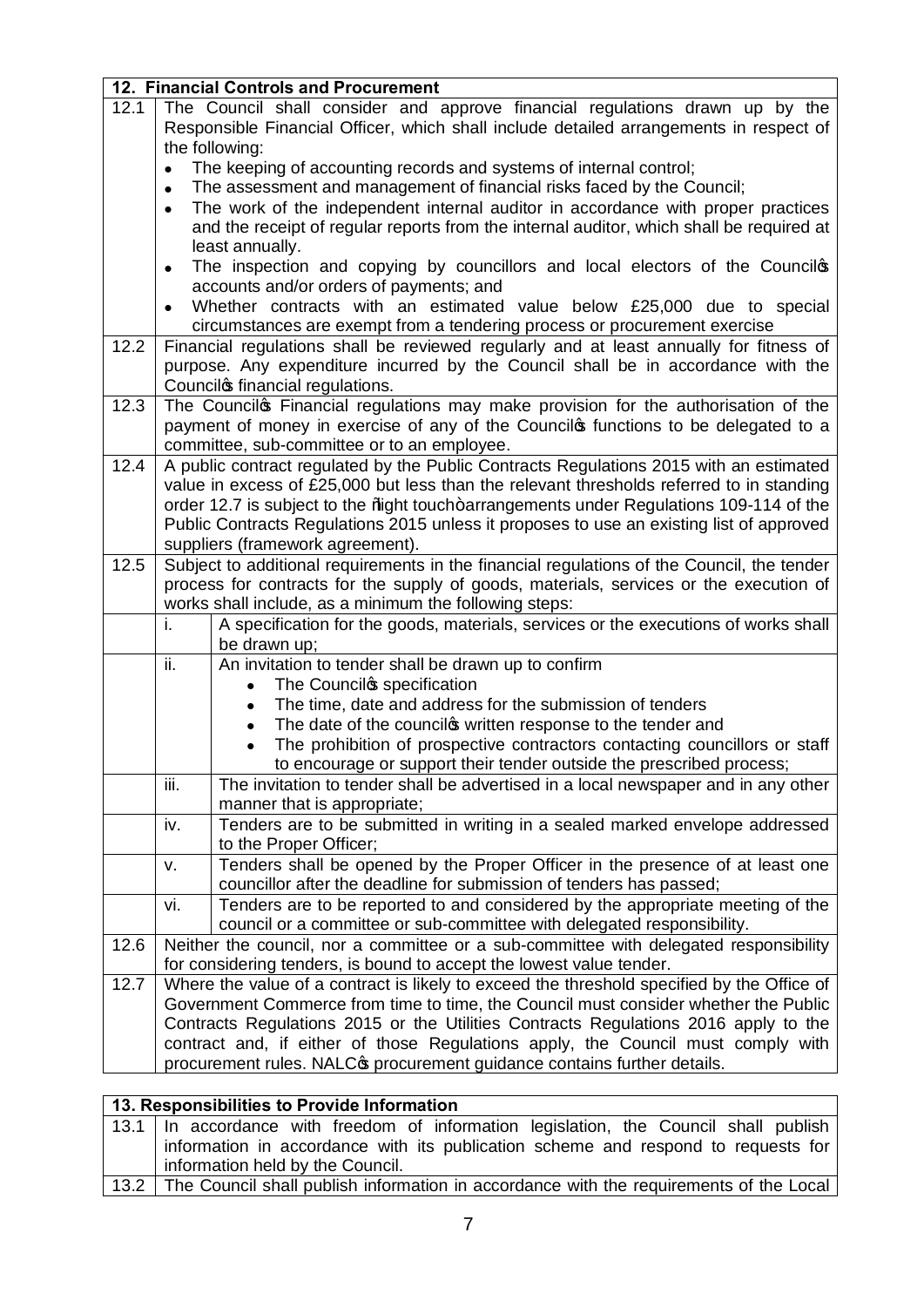|      | 12. Financial Controls and Procurement                                                                                                                                               |
|------|--------------------------------------------------------------------------------------------------------------------------------------------------------------------------------------|
| 12.1 | The Council shall consider and approve financial regulations drawn up by the                                                                                                         |
|      | Responsible Financial Officer, which shall include detailed arrangements in respect of                                                                                               |
|      | the following:                                                                                                                                                                       |
|      | The keeping of accounting records and systems of internal control;                                                                                                                   |
|      | The assessment and management of financial risks faced by the Council;                                                                                                               |
|      | The work of the independent internal auditor in accordance with proper practices                                                                                                     |
|      | and the receipt of regular reports from the internal auditor, which shall be required at                                                                                             |
|      | least annually.                                                                                                                                                                      |
|      | The inspection and copying by councillors and local electors of the Council<br>$\bullet$                                                                                             |
|      | accounts and/or orders of payments; and                                                                                                                                              |
|      | Whether contracts with an estimated value below £25,000 due to special                                                                                                               |
|      | circumstances are exempt from a tendering process or procurement exercise                                                                                                            |
| 12.2 | Financial regulations shall be reviewed regularly and at least annually for fitness of                                                                                               |
|      | purpose. Any expenditure incurred by the Council shall be in accordance with the                                                                                                     |
|      | Councilos financial regulations.                                                                                                                                                     |
| 12.3 | The Councilos Financial regulations may make provision for the authorisation of the                                                                                                  |
|      | payment of money in exercise of any of the Councilos functions to be delegated to a                                                                                                  |
|      | committee, sub-committee or to an employee.                                                                                                                                          |
| 12.4 | A public contract regulated by the Public Contracts Regulations 2015 with an estimated                                                                                               |
|      | value in excess of £25,000 but less than the relevant thresholds referred to in standing                                                                                             |
|      | order 12.7 is subject to the %ight touch+arrangements under Regulations 109-114 of the                                                                                               |
|      | Public Contracts Regulations 2015 unless it proposes to use an existing list of approved                                                                                             |
|      | suppliers (framework agreement).                                                                                                                                                     |
| 12.5 | Subject to additional requirements in the financial regulations of the Council, the tender<br>process for contracts for the supply of goods, materials, services or the execution of |
|      | works shall include, as a minimum the following steps:                                                                                                                               |
|      | A specification for the goods, materials, services or the executions of works shall<br>i.                                                                                            |
|      | be drawn up;                                                                                                                                                                         |
|      | ii.<br>An invitation to tender shall be drawn up to confirm                                                                                                                          |
|      | The Councilos specification                                                                                                                                                          |
|      | The time, date and address for the submission of tenders<br>$\bullet$                                                                                                                |
|      | The date of the councilos written response to the tender and<br>$\bullet$                                                                                                            |
|      | The prohibition of prospective contractors contacting councillors or staff<br>$\bullet$                                                                                              |
|      | to encourage or support their tender outside the prescribed process;                                                                                                                 |
|      | iii.<br>The invitation to tender shall be advertised in a local newspaper and in any other                                                                                           |
|      | manner that is appropriate;                                                                                                                                                          |
|      | Tenders are to be submitted in writing in a sealed marked envelope addressed<br>iv.                                                                                                  |
|      | to the Proper Officer;                                                                                                                                                               |
|      | Tenders shall be opened by the Proper Officer in the presence of at least one<br>v.                                                                                                  |
|      | councillor after the deadline for submission of tenders has passed;                                                                                                                  |
|      | Tenders are to be reported to and considered by the appropriate meeting of the<br>vi.                                                                                                |
|      | council or a committee or sub-committee with delegated responsibility.                                                                                                               |
| 12.6 | Neither the council, nor a committee or a sub-committee with delegated responsibility                                                                                                |
|      | for considering tenders, is bound to accept the lowest value tender.                                                                                                                 |
| 12.7 | Where the value of a contract is likely to exceed the threshold specified by the Office of                                                                                           |
|      | Government Commerce from time to time, the Council must consider whether the Public                                                                                                  |
|      | Contracts Regulations 2015 or the Utilities Contracts Regulations 2016 apply to the                                                                                                  |
|      | contract and, if either of those Regulations apply, the Council must comply with                                                                                                     |
|      | procurement rules. NALC <sub>®</sub> procurement guidance contains further details.                                                                                                  |

| 13. Responsibilities to Provide Information                                                 |
|---------------------------------------------------------------------------------------------|
| 13.1 In accordance with freedom of information legislation, the Council shall publish       |
| information in accordance with its publication scheme and respond to requests for           |
| information held by the Council.                                                            |
| 13.2 The Council shall publish information in accordance with the requirements of the Local |
|                                                                                             |